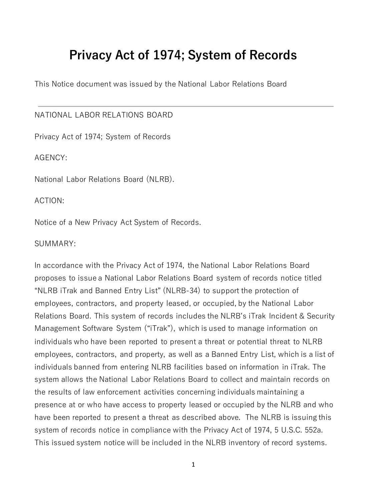# **Privacy Act of 1974; System of Records**

This Notice document was issued by the National Labor Relations Board

#### NATIONAL LABOR RELATIONS BOARD

Privacy Act of 1974; System of Records

AGENCY:

National Labor Relations Board (NLRB).

ACTION:

Notice of a New Privacy Act System of Records.

#### SUMMARY:

In accordance with the Privacy Act of 1974, the National Labor Relations Board proposes to issue a National Labor Relations Board system of records notice titled "NLRB iTrak and Banned Entry List" (NLRB-34) to support the protection of employees, contractors, and property leased, or occupied, by the National Labor Relations Board. This system of records includes the NLRB's iTrak Incident & Security Management Software System ("iTrak"), which is used to manage information on individuals who have been reported to present a threat or potential threat to NLRB employees, contractors, and property, as well as a Banned Entry List, which is a list of individuals banned from entering NLRB facilities based on information in iTrak. The system allows the National Labor Relations Board to collect and maintain records on the results of law enforcement activities concerning individuals maintaining a presence at or who have access to property leased or occupied by the NLRB and who have been reported to present a threat as described above. The NLRB is issuing this system of records notice in compliance with the Privacy Act of 1974, 5 U.S.C. 552a. This issued system notice will be included in the NLRB inventory of record systems.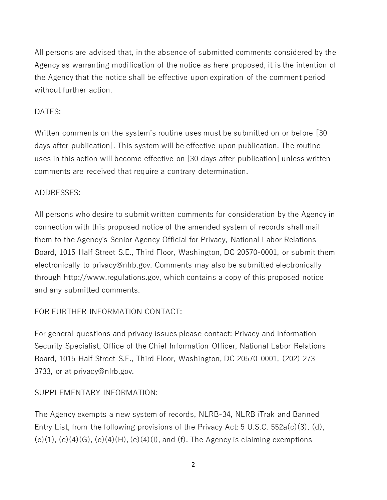All persons are advised that, in the absence of submitted comments considered by the Agency as warranting modification of the notice as here proposed, it is the intention of the Agency that the notice shall be effective upon expiration of the comment period without further action.

### DATES:

Written comments on the system's routine uses must be submitted on or before [30 days after publication]. This system will be effective upon publication. The routine uses in this action will become effective on [30 days after publication] unless written comments are received that require a contrary determination.

# ADDRESSES:

All persons who desire to submit written comments for consideration by the Agency in connection with this proposed notice of the amended system of records shall mail them to the Agency's Senior Agency Official for Privacy, National Labor Relations Board, 1015 Half Street S.E., Third Floor, Washington, DC 20570-0001, or submit them electronically to [privacy@nlrb.gov.](mailto:pac@nlrb.gov) Comments may also be submitted electronically through [http://www.regulations.gov,](http://www.regulations.gov/) which contains a copy of this proposed notice and any submitted comments.

# FOR FURTHER INFORMATION CONTACT:

For general questions and privacy issues please contact: Privacy and Information Security Specialist, Office of the Chief Information Officer, National Labor Relations Board, 1015 Half Street S.E., Third Floor, Washington, DC 20570-0001, (202) 273- 3733, or at [privacy@nlrb.gov.](mailto:privacy@nlrb.gov)

# SUPPLEMENTARY INFORMATION:

The Agency exempts a new system of records, NLRB-34, NLRB iTrak and Banned Entry List, from the following provisions of the Privacy Act: 5 U.S.C. 552a(c)(3), (d),  $(e)(1)$ ,  $(e)(4)(G)$ ,  $(e)(4)(H)$ ,  $(e)(4)(I)$ , and  $(f)$ . The Agency is claiming exemptions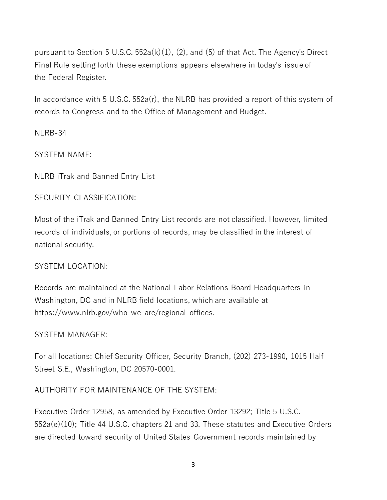pursuant to Section [5 U.S.C. 552a](https://api.fdsys.gov/link?collection=uscode&title=5&year=mostrecent§ion=552&type=usc&link-type=html)(k)(1), (2), and (5) of that Act. The Agency's Direct Final Rule setting forth these exemptions appears elsewhere in today's issue of the Federal Register.

In accordance with 5 U.S.C. 552a(r), the NLRB has provided a report of this system of records to Congress and to the Office of Management and Budget.

NLRB-34

SYSTEM NAME:

NLRB iTrak and Banned Entry List

### SECURITY CLASSIFICATION:

Most of the iTrak and Banned Entry List records are not classified. However, limited records of individuals, or portions of records, may be classified in the interest of national security.

### SYSTEM LOCATION:

Records are maintained at the National Labor Relations Board Headquarters in Washington, DC and in NLRB field locations, which are available at https://www.nlrb.gov/who-we-are/regional-offices.

### SYSTEM MANAGER:

For all locations: Chief Security Officer, Security Branch, (202) 273-1990, 1015 Half Street S.E., Washington, DC 20570-0001.

### AUTHORITY FOR MAINTENANCE OF THE SYSTEM:

[Executive Order 12958,](https://www.federalregister.gov/executive-order/12958) as amended by [Executive Order 13292;](https://www.federalregister.gov/executive-order/13292) Title [5 U.S.C.](https://api.fdsys.gov/link?collection=uscode&title=5&year=mostrecent§ion=552&type=usc&link-type=html)  [552a](https://api.fdsys.gov/link?collection=uscode&title=5&year=mostrecent§ion=552&type=usc&link-type=html)(e)(10); Title 44 U.S.C. chapters 21 and 33. These statutes and Executive Orders are directed toward security of United States Government records maintained by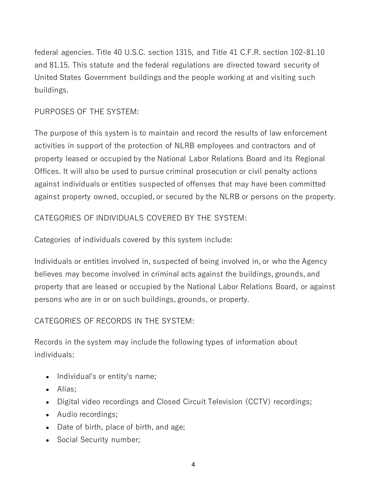federal agencies. Title 40 U.S.C. section 1315, and Title [41 C.F.R. section 102-](https://www.federalregister.gov/select-citation/2016/07/30/41-CFR-102)81.10 and 81.15. This statute and the federal regulations are directed toward security of United States Government buildings and the people working at and visiting such buildings.

# PURPOSES OF THE SYSTEM:

The purpose of this system is to maintain and record the results of law enforcement activities in support of the protection of NLRB employees and contractors and of property leased or occupied by the National Labor Relations Board and its Regional Offices. It will also be used to pursue criminal prosecution or civil penalty actions against individuals or entities suspected of offenses that may have been committed against property owned, occupied, or secured by the NLRB or persons on the property.

# CATEGORIES OF INDIVIDUALS COVERED BY THE SYSTEM:

Categories of individuals covered by this system include:

Individuals or entities involved in, suspected of being involved in, or who the Agency believes may become involved in criminal acts against the buildings, grounds, and property that are leased or occupied by the National Labor Relations Board, or against persons who are in or on such buildings, grounds, or property.

# CATEGORIES OF RECORDS IN THE SYSTEM:

Records in the system may include the following types of information about individuals:

- Individual's or entity's name;
- Alias;
- Digital video recordings and Closed Circuit Television (CCTV) recordings;
- Audio recordings;
- Date of birth, place of birth, and age;
- Social Security number;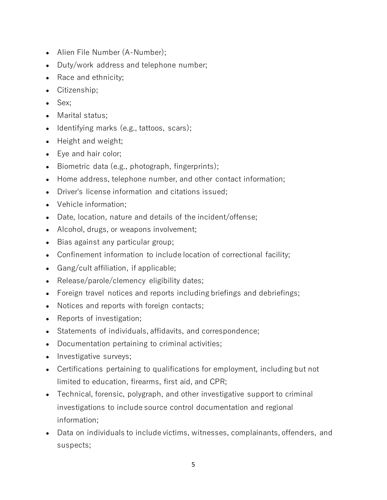- Alien File Number (A-Number);
- Duty/work address and telephone number;
- Race and ethnicity;
- Citizenship;
- Sex;
- Marital status;
- Identifying marks (e.g., tattoos, scars);
- Height and weight;
- Eye and hair color;
- Biometric data (e.g., photograph, fingerprints);
- Home address, telephone number, and other contact information;
- Driver's license information and citations issued;
- Vehicle information;
- Date, location, nature and details of the incident/offense;
- Alcohol, drugs, or weapons involvement;
- Bias against any particular group;
- Confinement information to include location of correctional facility;
- Gang/cult affiliation, if applicable;
- Release/parole/clemency eligibility dates;
- Foreign travel notices and reports including briefings and debriefings;
- Notices and reports with foreign contacts;
- Reports of investigation;
- Statements of individuals, affidavits, and correspondence;
- Documentation pertaining to criminal activities;
- Investigative surveys;
- Certifications pertaining to qualifications for employment, including but not limited to education, firearms, first aid, and CPR;
- Technical, forensic, polygraph, and other investigative support to criminal investigations to include source control documentation and regional information;
- Data on individuals to include victims, witnesses, complainants, offenders, and suspects;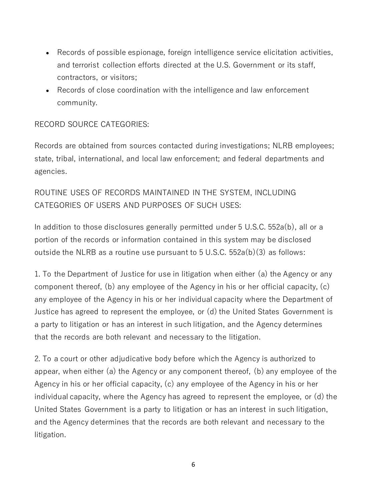- Records of possible espionage, foreign intelligence service elicitation activities, and terrorist collection efforts directed at the U.S. Government or its staff, contractors, or visitors;
- Records of close coordination with the intelligence and law enforcement community.

# RECORD SOURCE CATEGORIES:

Records are obtained from sources contacted during investigations; NLRB employees; state, tribal, international, and local law enforcement; and federal departments and agencies.

# ROUTINE USES OF RECORDS MAINTAINED IN THE SYSTEM, INCLUDING CATEGORIES OF USERS AND PURPOSES OF SUCH USES:

In addition to those disclosures generally permitted under 5 U.S.C. 552a(b), all or a portion of the records or information contained in this system may be disclosed outside the NLRB as a routine use pursuant to 5 U.S.C.  $552a(b)(3)$  as follows:

1. To the Department of Justice for use in litigation when either (a) the Agency or any component thereof, (b) any employee of the Agency in his or her official capacity, (c) any employee of the Agency in his or her individual capacity where the Department of Justice has agreed to represent the employee, or (d) the United States Government is a party to litigation or has an interest in such litigation, and the Agency determines that the records are both relevant and necessary to the litigation.

2. To a court or other adjudicative body before which the Agency is authorized to appear, when either (a) the Agency or any component thereof, (b) any employee of the Agency in his or her official capacity, (c) any employee of the Agency in his or her individual capacity, where the Agency has agreed to represent the employee, or (d) the United States Government is a party to litigation or has an interest in such litigation, and the Agency determines that the records are both relevant and necessary to the litigation.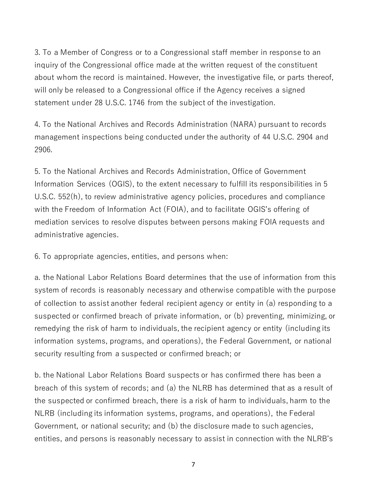3. To a Member of Congress or to a Congressional staff member in response to an inquiry of the Congressional office made at the written request of the constituent about whom the record is maintained. However, the investigative file, or parts thereof, will only be released to a Congressional office if the Agency receives a signed statement under [28 U.S.C. 1746](https://api.fdsys.gov/link?collection=uscode&title=28&year=mostrecent§ion=1746&type=usc&link-type=html) from the subject of the investigation.

4. To the National Archives and Records Administration (NARA) pursuant to records management inspections being conducted under the authority of 44 U.S.C. 2904 and 2906.

5. To the National Archives and Records Administration, Office of Government Information Services (OGIS), to the extent necessary to fulfill its responsibilities in 5 U.S.C. 552(h), to review administrative agency policies, procedures and compliance with the Freedom of Information Act (FOIA), and to facilitate OGIS's offering of mediation services to resolve disputes between persons making FOIA requests and administrative agencies.

6. To appropriate agencies, entities, and persons when:

a. the National Labor Relations Board determines that the use of information from this system of records is reasonably necessary and otherwise compatible with the purpose of collection to assist another federal recipient agency or entity in (a) responding to a suspected or confirmed breach of private information, or (b) preventing, minimizing, or remedying the risk of harm to individuals, the recipient agency or entity (including its information systems, programs, and operations), the Federal Government, or national security resulting from a suspected or confirmed breach; or

b. the National Labor Relations Board suspects or has confirmed there has been a breach of this system of records; and (a) the NLRB has determined that as a result of the suspected or confirmed breach, there is a risk of harm to individuals, harm to the NLRB (including its information systems, programs, and operations), the Federal Government, or national security; and (b) the disclosure made to such agencies, entities, and persons is reasonably necessary to assist in connection with the NLRB's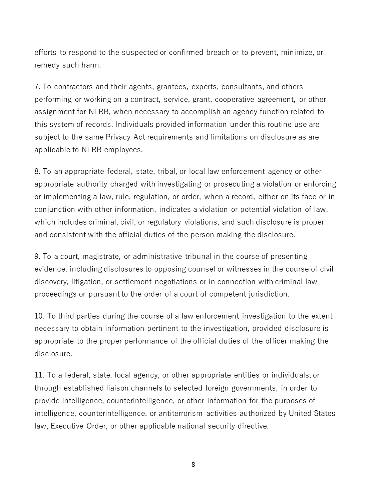efforts to respond to the suspected or confirmed breach or to prevent, minimize, or remedy such harm.

7. To contractors and their agents, grantees, experts, consultants, and others performing or working on a contract, service, grant, cooperative agreement, or other assignment for NLRB, when necessary to accomplish an agency function related to this system of records. Individuals provided information under this routine use are subject to the same Privacy Act requirements and limitations on disclosure as are applicable to NLRB employees.

8. To an appropriate federal, state, tribal, or local law enforcement agency or other appropriate authority charged with investigating or prosecuting a violation or enforcing or implementing a law, rule, regulation, or order, when a record, either on its face or in conjunction with other information, indicates a violation or potential violation of law, which includes criminal, civil, or regulatory violations, and such disclosure is proper and consistent with the official duties of the person making the disclosure.

9. To a court, magistrate, or administrative tribunal in the course of presenting evidence, including disclosures to opposing counsel or witnesses in the course of civil discovery, litigation, or settlement negotiations or in connection with criminal law proceedings or pursuant to the order of a court of competent jurisdiction.

10. To third parties during the course of a law enforcement investigation to the extent necessary to obtain information pertinent to the investigation, provided disclosure is appropriate to the proper performance of the official duties of the officer making the disclosure.

11. To a federal, state, local agency, or other appropriate entities or individuals, or through established liaison channels to selected foreign governments, in order to provide intelligence, counterintelligence, or other information for the purposes of intelligence, counterintelligence, or antiterrorism activities authorized by United States law, Executive Order, or other applicable national security directive.

8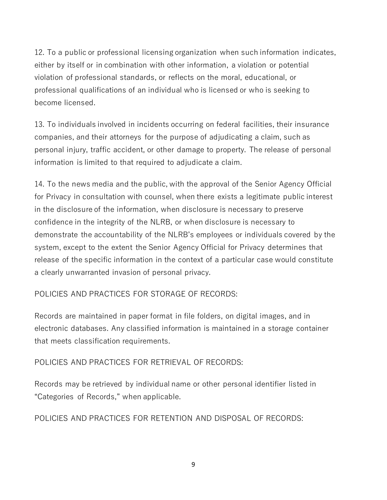12. To a public or professional licensing organization when such information indicates, either by itself or in combination with other information, a violation or potential violation of professional standards, or reflects on the moral, educational, or professional qualifications of an individual who is licensed or who is seeking to become licensed.

13. To individuals involved in incidents occurring on federal facilities, their insurance companies, and their attorneys for the purpose of adjudicating a claim, such as personal injury, traffic accident, or other damage to property. The release of personal information is limited to that required to adjudicate a claim.

14. To the news media and the public, with the approval of the Senior Agency Official for Privacy in consultation with counsel, when there exists a legitimate public interest in the disclosure of the information, when disclosure is necessary to preserve confidence in the integrity of the NLRB, or when disclosure is necessary to demonstrate the accountability of the NLRB's employees or individuals covered by the system, except to the extent the Senior Agency Official for Privacy determines that release of the specific information in the context of a particular case would constitute a clearly unwarranted invasion of personal privacy.

# POLICIES AND PRACTICES FOR STORAGE OF RECORDS:

Records are maintained in paper format in file folders, on digital images, and in electronic databases. Any classified information is maintained in a storage container that meets classification requirements.

# POLICIES AND PRACTICES FOR RETRIEVAL OF RECORDS:

Records may be retrieved by individual name or other personal identifier listed in "Categories of Records," when applicable.

# POLICIES AND PRACTICES FOR RETENTION AND DISPOSAL OF RECORDS: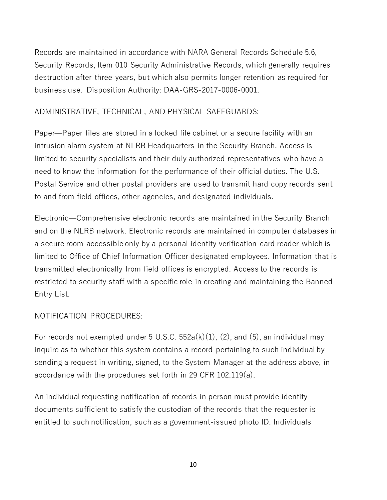Records are maintained in accordance with NARA General Records Schedule 5.6, Security Records, Item 010 Security Administrative Records, which generally requires destruction after three years, but which also permits longer retention as required for business use. Disposition Authority: DAA-GRS-2017-0006-0001.

### ADMINISTRATIVE, TECHNICAL, AND PHYSICAL SAFEGUARDS:

Paper—Paper files are stored in a locked file cabinet or a secure facility with an intrusion alarm system at NLRB Headquarters in the Security Branch. Access is limited to security specialists and their duly authorized representatives who have a need to know the information for the performance of their official duties. The U.S. Postal Service and other postal providers are used to transmit hard copy records sent to and from field offices, other agencies, and designated individuals.

Electronic—Comprehensive electronic records are maintained in the Security Branch and on the NLRB network. Electronic records are maintained in computer databases in a secure room accessible only by a personal identity verification card reader which is limited to Office of Chief Information Officer designated employees. Information that is transmitted electronically from field offices is encrypted. Access to the records is restricted to security staff with a specific role in creating and maintaining the Banned Entry List.

### NOTIFICATION PROCEDURES:

For records not exempted under 5 U.S.C.  $552a(k)(1)$ , (2), and (5), an individual may inquire as to whether this system contains a record pertaining to such individual by sending a request in writing, signed, to the System Manager at the address above, in accordance with the procedures set forth in [29 CFR 102.119\(](https://www.federalregister.gov/select-citation/2016/11/21/29-CFR-102.119)a).

An individual requesting notification of records in person must provide identity documents sufficient to satisfy the custodian of the records that the requester is entitled to such notification, such as a government-issued photo ID. Individuals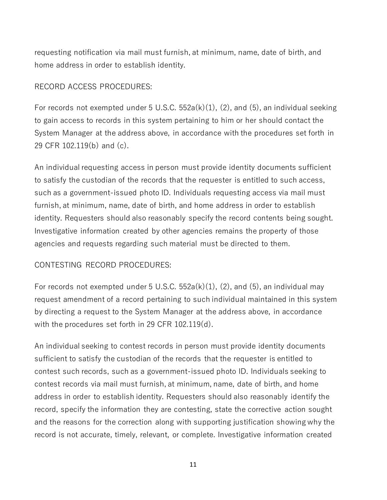requesting notification via mail must furnish, at minimum, name, date of birth, and home address in order to establish identity.

#### RECORD ACCESS PROCEDURES:

For records not exempted under 5 U.S.C.  $552a(k)(1)$ , (2), and (5), an individual seeking to gain access to records in this system pertaining to him or her should contact the System Manager at the address above, in accordance with the procedures set forth in [29 CFR 102.119\(](https://www.federalregister.gov/select-citation/2016/11/21/29-CFR-102.119)b) and (c).

An individual requesting access in person must provide identity documents sufficient to satisfy the custodian of the records that the requester is entitled to such access, such as a government-issued photo ID. Individuals requesting access via mail must furnish, at minimum, name, date of birth, and home address in order to establish identity. Requesters should also reasonably specify the record contents being sought. Investigative information created by other agencies remains the property of those agencies and requests regarding such material must be directed to them.

### CONTESTING RECORD PROCEDURES:

For records not exempted under 5 U.S.C.  $552a(k)(1)$ , (2), and (5), an individual may request amendment of a record pertaining to such individual maintained in this system by directing a request to the System Manager at the address above, in accordance with the procedures set forth in [29 CFR 102.119\(](https://www.federalregister.gov/select-citation/2016/11/21/29-CFR-102.119)d).

An individual seeking to contest records in person must provide identity documents sufficient to satisfy the custodian of the records that the requester is entitled to contest such records, such as a government-issued photo ID. Individuals seeking to contest records via mail must furnish, at minimum, name, date of birth, and home address in order to establish identity. Requesters should also reasonably identify the record, specify the information they are contesting, state the corrective action sought and the reasons for the correction along with supporting justification showing why the record is not accurate, timely, relevant, or complete. Investigative information created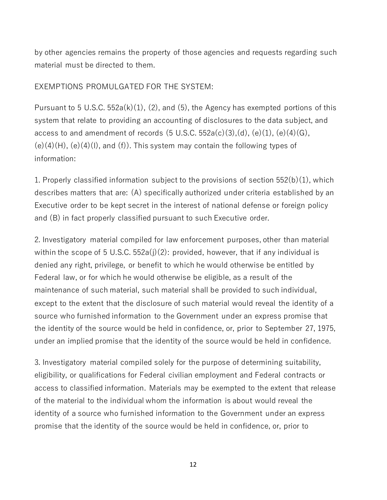by other agencies remains the property of those agencies and requests regarding such material must be directed to them.

### EXEMPTIONS PROMULGATED FOR THE SYSTEM:

Pursuant to 5 U.S.C.  $552a(k)(1)$ ,  $(2)$ , and  $(5)$ , the Agency has exempted portions of this system that relate to providing an accounting of disclosures to the data subject, and access to and amendment of records  $(5 \text{ U.S.C. } 552a(c)(3),(d), (e)(1), (e)(4)(G),$  $(e)(4)(H)$ ,  $(e)(4)(I)$ , and  $(f)$ ). This system may contain the following types of information:

1. Properly classified information subject to the provisions of section 552(b)(1), which describes matters that are: (A) specifically authorized under criteria established by an Executive order to be kept secret in the interest of national defense or foreign policy and (B) in fact properly classified pursuant to such Executive order.

2. Investigatory material compiled for law enforcement purposes, other than material within the scope of 5 U.S.C.  $552a(j)(2)$ : provided, however, that if any individual is denied any right, privilege, or benefit to which he would otherwise be entitled by Federal law, or for which he would otherwise be eligible, as a result of the maintenance of such material, such material shall be provided to such individual, except to the extent that the disclosure of such material would reveal the identity of a source who furnished information to the Government under an express promise that the identity of the source would be held in confidence, or, prior to September 27, 1975, under an implied promise that the identity of the source would be held in confidence.

3. Investigatory material compiled solely for the purpose of determining suitability, eligibility, or qualifications for Federal civilian employment and Federal contracts or access to classified information. Materials may be exempted to the extent that release of the material to the individual whom the information is about would reveal the identity of a source who furnished information to the Government under an express promise that the identity of the source would be held in confidence, or, prior to